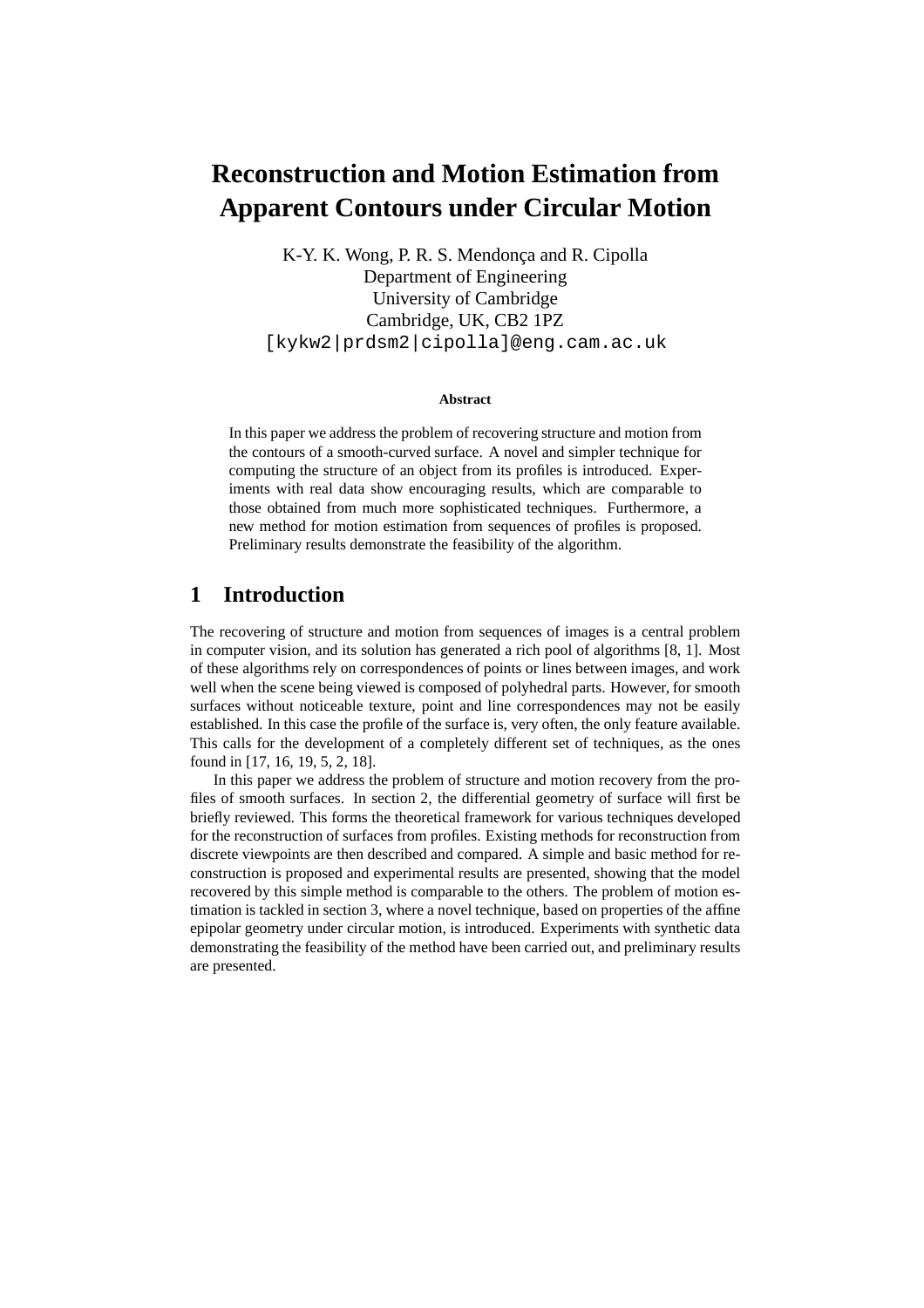# **Reconstruction and Motion Estimation from Apparent Contours under Circular Motion**

K-Y. K. Wong, P. R. S. Mendonça and R. Cipolla Department of Engineering University of Cambridge Cambridge, UK, CB2 1PZ [kykw2|prdsm2|cipolla]@eng.cam.ac.uk

#### **Abstract**

In this paper we address the problem of recovering structure and motion from the contours of a smooth-curved surface. A novel and simpler technique for computing the structure of an object from its profiles is introduced. Experiments with real data show encouraging results, which are comparable to those obtained from much more sophisticated techniques. Furthermore, a new method for motion estimation from sequences of profiles is proposed. Preliminary results demonstrate the feasibility of the algorithm.

# **1 Introduction**

The recovering of structure and motion from sequences of images is a central problem in computer vision, and its solution has generated a rich pool of algorithms [8, 1]. Most of these algorithms rely on correspondences of points or lines between images, and work well when the scene being viewed is composed of polyhedral parts. However, for smooth surfaces without noticeable texture, point and line correspondences may not be easily established. In this case the profile of the surface is, very often, the only feature available. This calls for the development of a completely different set of techniques, as the ones found in [17, 16, 19, 5, 2, 18].

In this paper we address the problem of structure and motion recovery from the profiles of smooth surfaces. In section 2, the differential geometry of surface will first be briefly reviewed. This forms the theoretical framework for various techniques developed for the reconstruction of surfaces from profiles. Existing methods for reconstruction from discrete viewpoints are then described and compared. A simple and basic method for reconstruction is proposed and experimental results are presented, showing that the model recovered by this simple method is comparable to the others. The problem of motion estimation is tackled in section 3, where a novel technique, based on properties of the affine epipolar geometry under circular motion, is introduced. Experiments with synthetic data demonstrating the feasibility of the method have been carried out, and preliminary results are presented.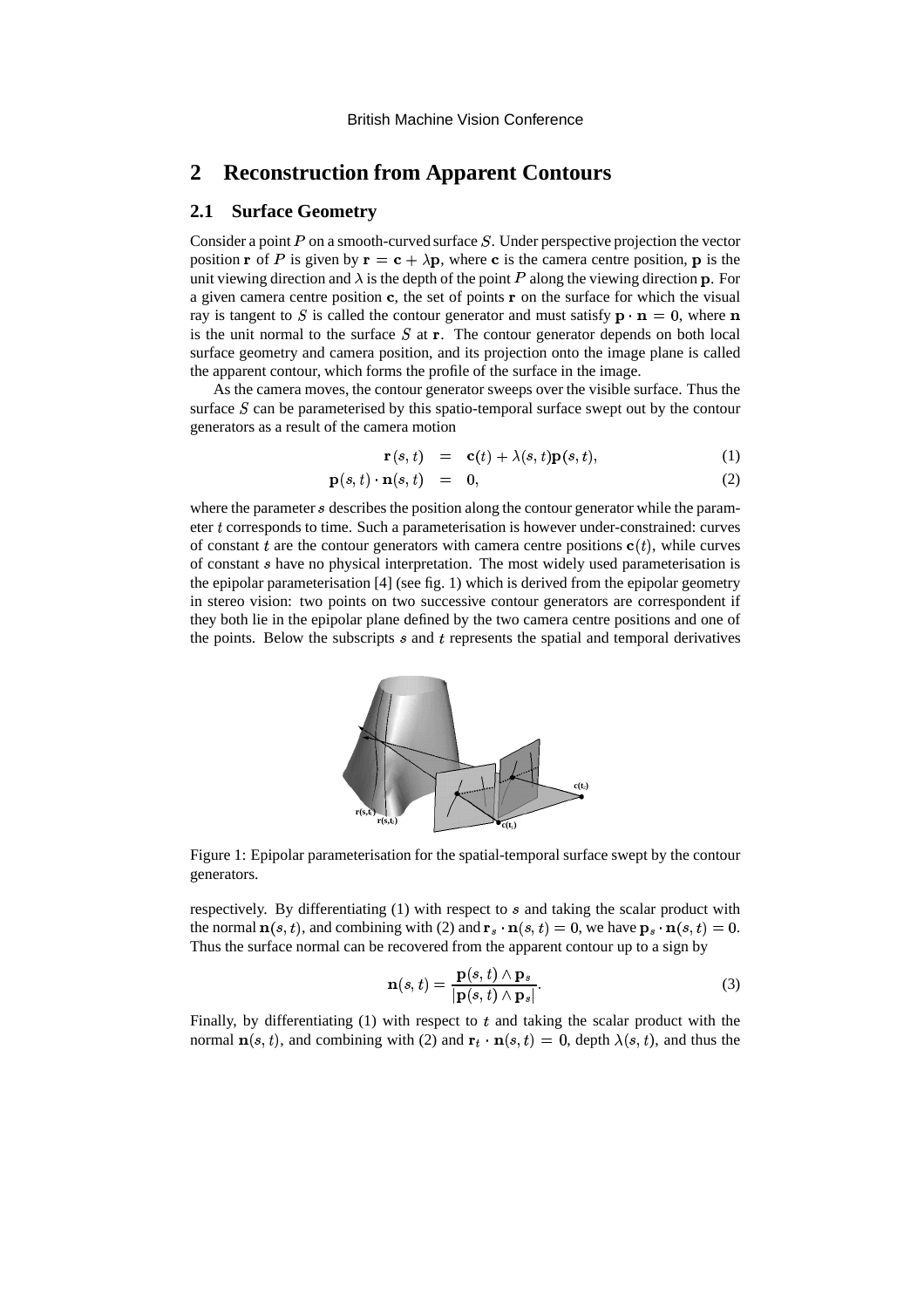# **2 Reconstruction from Apparent Contours**

### **2.1 Surface Geometry**

Consider a point  $P$  on a smooth-curved surface  $S$ . Under perspective projection the vector position **r** of P is given by  $\mathbf{r} = \mathbf{c} + \lambda \mathbf{p}$ , where **c** is the camera centre position, **p** is the unit viewing direction and  $\lambda$  is the depth of the point P along the viewing direction **p**. For a given camera centre position  $c$ , the set of points  $r$  on the surface for which the visual ray is tangent to S is called the contour generator and must satisfy  $\mathbf{p} \cdot \mathbf{n} = 0$ , where  $\mathbf{n}$ is the unit normal to the surface  $S$  at  $\mathbf{r}$ . The contour generator depends on both local surface geometry and camera position, and its projection onto the image plane is called the apparent contour, which forms the profile of the surface in the image.

As the camera moves, the contour generator sweeps over the visible surface. Thus the surface  $S$  can be parameterised by this spatio-temporal surface swept out by the contour generators as a result of the camera motion

$$
\mathbf{r}(s,t) = \mathbf{c}(t) + \lambda(s,t)\mathbf{p}(s,t), \tag{1}
$$

$$
\mathbf{p}(s,t) \cdot \mathbf{n}(s,t) = 0, \tag{2}
$$

where the parameter s describes the position along the contour generator while the parameter  $t$  corresponds to time. Such a parameterisation is however under-constrained: curves of constant t are the contour generators with camera centre positions  $\mathbf{c}(t)$ , while curves of constant  $s$  have no physical interpretation. The most widely used parameterisation is the epipolar parameterisation [4] (see fig. 1) which is derived from the epipolar geometry in stereo vision: two points on two successive contour generators are correspondent if they both lie in the epipolar plane defined by the two camera centre positions and one of the points. Below the subscripts  $s$  and  $t$  represents the spatial and temporal derivatives



Figure 1: Epipolar parameterisation for the spatial-temporal surface swept by the contour generators.

respectively. By differentiating  $(1)$  with respect to  $s$  and taking the scalar product with the normal  $\mathbf{n}(s, t)$ , and combining with (2) and  $\mathbf{r}_s \cdot \mathbf{n}(s, t) = 0$ , we have  $\mathbf{p}_s \cdot \mathbf{n}(s, t) = 0$ . Thus the surface normal can be recovered from the apparent contour up to a sign by

$$
\mathbf{n}(s,t) = \frac{\mathbf{p}(s,t) \wedge \mathbf{p}_s}{|\mathbf{p}(s,t) \wedge \mathbf{p}_s|}.
$$
 (3)

Finally, by differentiating  $(1)$  with respect to  $t$  and taking the scalar product with the normal  $\mathbf{n}(s, t)$ , and combining with (2) and  $\mathbf{r}_t \cdot \mathbf{n}(s, t) = 0$ , depth  $\lambda(s, t)$ , and thus the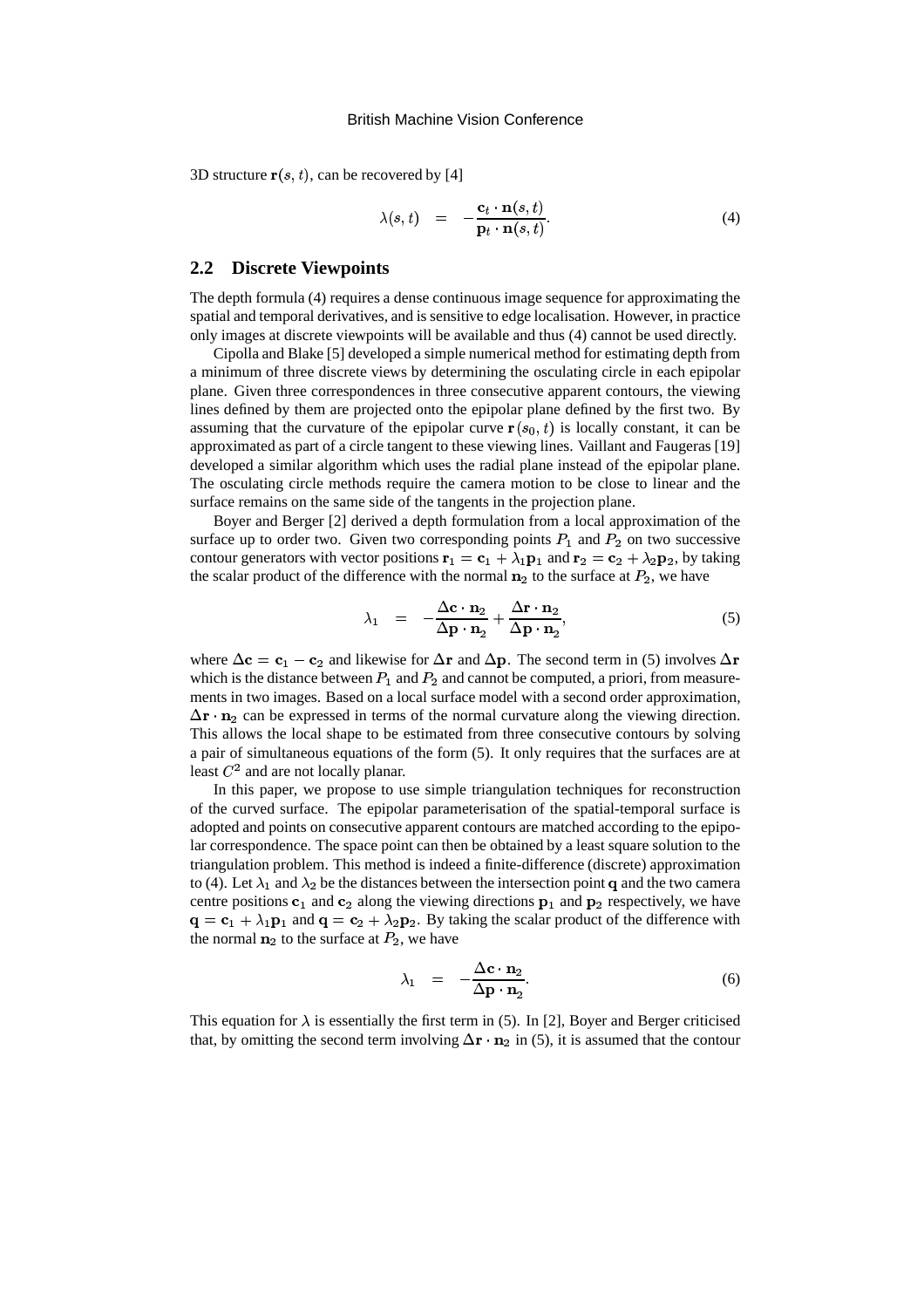3D structure  $\mathbf{r}(s,t)$ , can be recovered by [4]

$$
\lambda(s,t) = -\frac{\mathbf{c}_t \cdot \mathbf{n}(s,t)}{\mathbf{p}_t \cdot \mathbf{n}(s,t)}.
$$
 (4)

### **2.2 Discrete Viewpoints**

The depth formula (4) requires a dense continuous image sequence for approximating the spatial and temporal derivatives, and is sensitive to edge localisation. However, in practice only images at discrete viewpoints will be available and thus (4) cannot be used directly.

Cipolla and Blake [5] developed a simple numerical method for estimating depth from a minimum of three discrete views by determining the osculating circle in each epipolar plane. Given three correspondences in three consecutive apparent contours, the viewing lines defined by them are projected onto the epipolar plane defined by the first two. By assuming that the curvature of the epipolar curve  $\mathbf{r}(s_0, t)$  is locally constant, it can be approximated as part of a circle tangent to these viewing lines. Vaillant and Faugeras [19] developed a similar algorithm which uses the radial plane instead of the epipolar plane. The osculating circle methods require the camera motion to be close to linear and the surface remains on the same side of the tangents in the projection plane.

Boyer and Berger [2] derived a depth formulation from a local approximation of the surface up to order two. Given two corresponding points  $P_1$  and  $P_2$  on two successive contour generators with vector positions  $\mathbf{r}_1 = \mathbf{c}_1 + \lambda_1 \mathbf{p}_1$  and  $\mathbf{r}_2 = \mathbf{c}_2 + \lambda_2 \mathbf{p}_2$ , by taking the scalar product of the difference with the normal  $n_2$  to the surface at  $P_2$ , we have

$$
\lambda_1 = -\frac{\Delta \mathbf{c} \cdot \mathbf{n}_2}{\Delta \mathbf{p} \cdot \mathbf{n}_2} + \frac{\Delta \mathbf{r} \cdot \mathbf{n}_2}{\Delta \mathbf{p} \cdot \mathbf{n}_2},\tag{5}
$$

where  $\Delta c = c_1 - c_2$  and likewise for  $\Delta r$  and  $\Delta p$ . The second term in (5) involves  $\Delta r$ which is the distance between  $P_1$  and  $P_2$  and cannot be computed, a priori, from measurements in two images. Based on a local surface model with a second order approximation,  $\Delta$ r · n<sub>2</sub> can be expressed in terms of the normal curvature along the viewing direction. This allows the local shape to be estimated from three consecutive contours by solving a pair of simultaneous equations of the form (5). It only requires that the surfaces are at least  $C^2$  and are not locally planar.

In this paper, we propose to use simple triangulation techniques for reconstruction of the curved surface. The epipolar parameterisation of the spatial-temporal surface is adopted and points on consecutive apparent contours are matched according to the epipolar correspondence. The space point can then be obtained by a least square solution to the triangulation problem. This method is indeed a finite-difference (discrete) approximation to (4). Let  $\lambda_1$  and  $\lambda_2$  be the distances between the intersection point q and the two camera centre positions  $c_1$  and  $c_2$  along the viewing directions  $p_1$  and  $p_2$  respectively, we have  $\mathbf{q} = \mathbf{c}_1 + \lambda_1 \mathbf{p}_1$  and  $\mathbf{q} = \mathbf{c}_2 + \lambda_2 \mathbf{p}_2$ . By taking the scalar product of the difference with the normal  $n_2$  to the surface at  $P_2$ , we have

$$
\lambda_1 = -\frac{\Delta \mathbf{c} \cdot \mathbf{n}_2}{\Delta \mathbf{p} \cdot \mathbf{n}_2}.
$$
 (6)

This equation for  $\lambda$  is essentially the first term in (5). In [2], Boyer and Berger criticised that, by omitting the second term involving  $\Delta \mathbf{r} \cdot \mathbf{n}_2$  in (5), it is assumed that the contour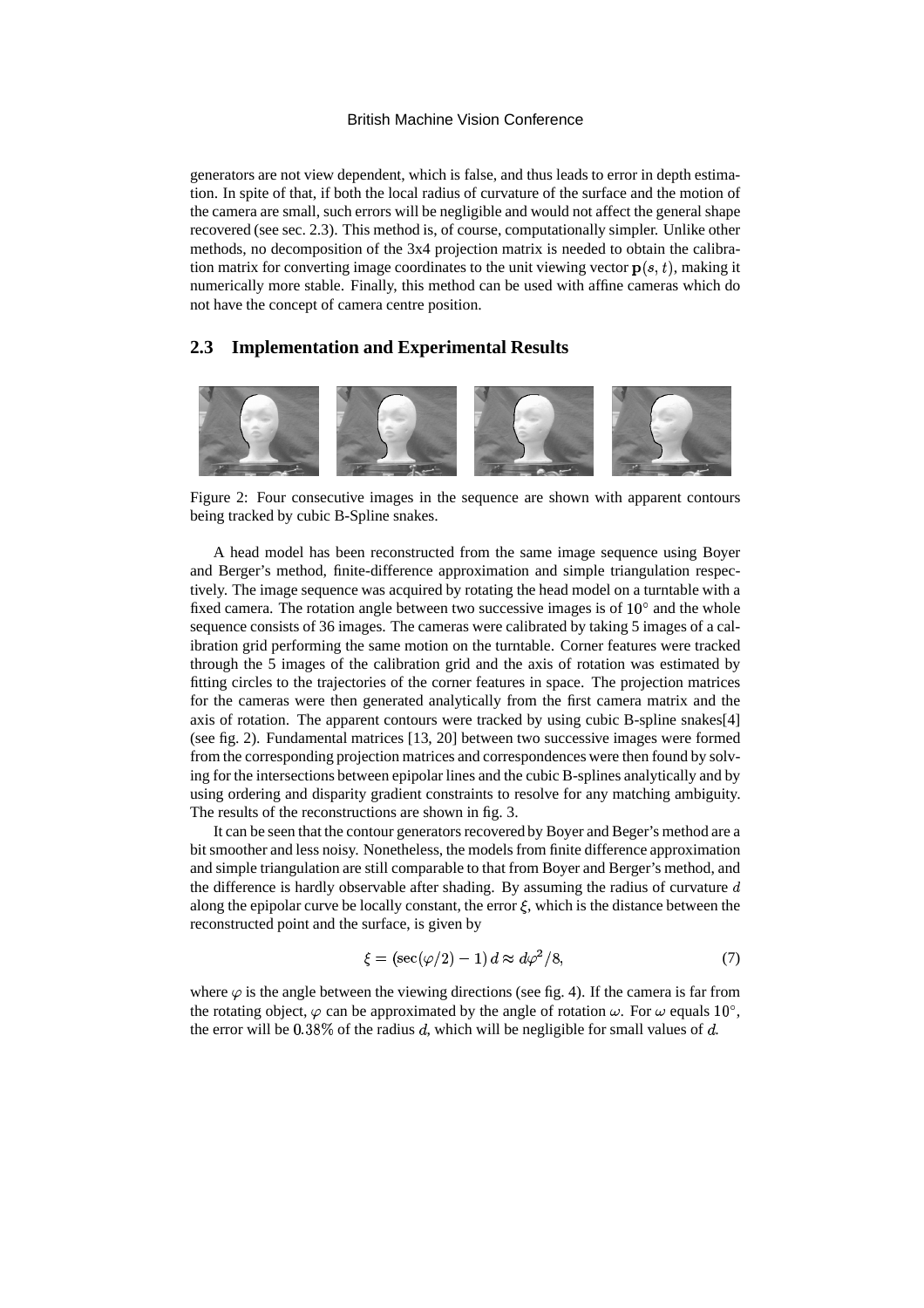generators are not view dependent, which is false, and thus leads to error in depth estimation. In spite of that, if both the local radius of curvature of the surface and the motion of the camera are small, such errors will be negligible and would not affectthe general shape recovered (see sec. 2.3). This method is, of course, computationally simpler. Unlike other methods, no decomposition of the 3x4 projection matrix is needed to obtain the calibration matrix for converting image coordinates to the unit viewing vector  $p(s, t)$ , making it numerically more stable. Finally, this method can be used with affine cameras which do not have the concept of camera centre position.

### **2.3 Implementation and Experimental Results**



Figure 2: Four consecutive images in the sequence are shown with apparent contours being tracked by cubic B-Spline snakes.

A head model has been reconstructed from the same image sequence using Boyer and Berger's method, finite-difference approximation and simple triangulation respectively. The image sequence was acquired by rotating the head model on a turntable with a fixed camera. The rotation angle between two successive images is of  $10^{\circ}$  and the whole sequence consists of 36 images. The cameras were calibrated by taking 5 images of a calibration grid performing the same motion on the turntable. Corner features were tracked through the 5 images of the calibration grid and the axis of rotation was estimated by fitting circles to the trajectories of the corner features in space. The projection matrices for the cameras were then generated analytically from the first camera matrix and the axis of rotation. The apparent contours were tracked by using cubic B-spline snakes[4] (see fig. 2). Fundamental matrices [13, 20] between two successive images were formed from the corresponding projection matrices and correspondences were then found by solving for the intersections between epipolar lines and the cubic B-splines analytically and by using ordering and disparity gradient constraints to resolve for any matching ambiguity. The results of the reconstructions are shown in fig. 3.

It can be seen that the contour generators recovered by Boyer and Beger's method are a bit smoother and less noisy. Nonetheless, the models from finite difference approximation and simple triangulation are still comparable to that from Boyer and Berger's method, and the difference is hardly observable after shading. By assuming the radius of curvature  $d$ along the epipolar curve be locally constant, the error  $\xi$ , which is the distance between the reconstructed point and the surface, is given by

$$
\xi = (\sec(\varphi/2) - 1) d \approx d\varphi^2/8,\tag{7}
$$

where  $\varphi$  is the angle between the viewing directions (see fig. 4). If the camera is far from the rotating object,  $\varphi$  can be approximated by the angle of rotation  $\omega$ . For  $\omega$  equals 10°, the error will be  $0.38\%$  of the radius d, which will be negligible for small values of d.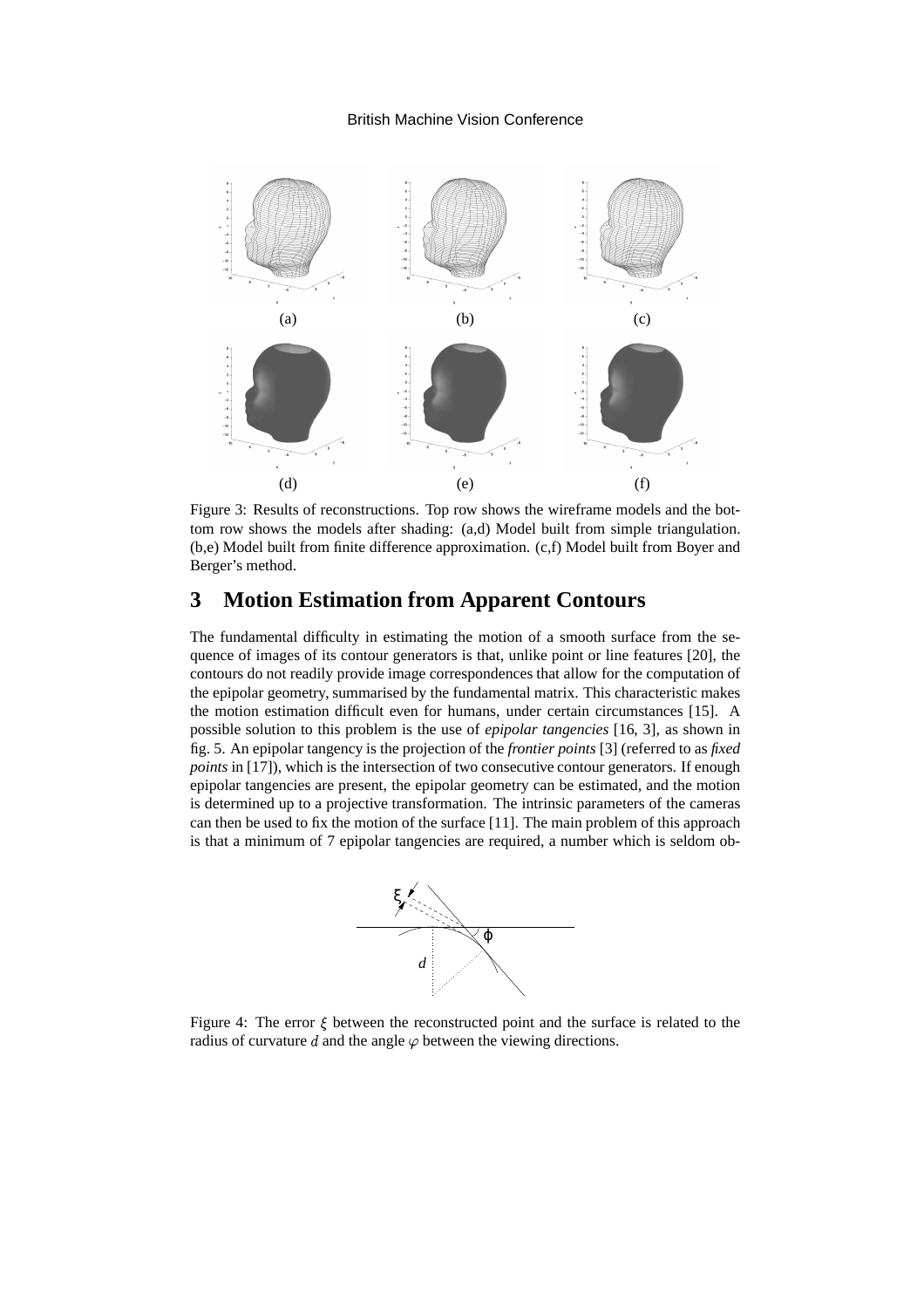

Figure 3: Results of reconstructions. Top row shows the wireframe models and the bottom row shows the models after shading: (a,d) Model built from simple triangulation. (b,e) Model built from finite difference approximation. (c,f) Model built from Boyer and Berger's method.

## **3 Motion Estimation from Apparent Contours**

The fundamental difficulty in estimating the motion of a smooth surface from the sequence of images of its contour generators is that, unlike point or line features [20], the contours do not readily provide image correspondences that allow for the computation of the epipolar geometry, summarised by the fundamental matrix. This characteristic makes the motion estimation difficult even for humans, under certain circumstances [15]. A possible solution to this problem is the use of *epipolar tangencies* [16, 3], as shown in fig. 5. An epipolar tangency is the projection of the *frontier points* [3] (referred to as *fixed points* in [17]), which is the intersection of two consecutive contour generators. If enough epipolar tangencies are present, the epipolar geometry can be estimated, and the motion is determined up to a projective transformation. The intrinsic parameters of the cameras can then be used to fix the motion of the surface [11]. The main problem of this approach is that a minimum of 7 epipolar tangencies are required, a number which is seldom ob-



Figure 4: The error  $\xi$  between the reconstructed point and the surface is related to the radius of curvature d and the angle  $\varphi$  between the viewing directions.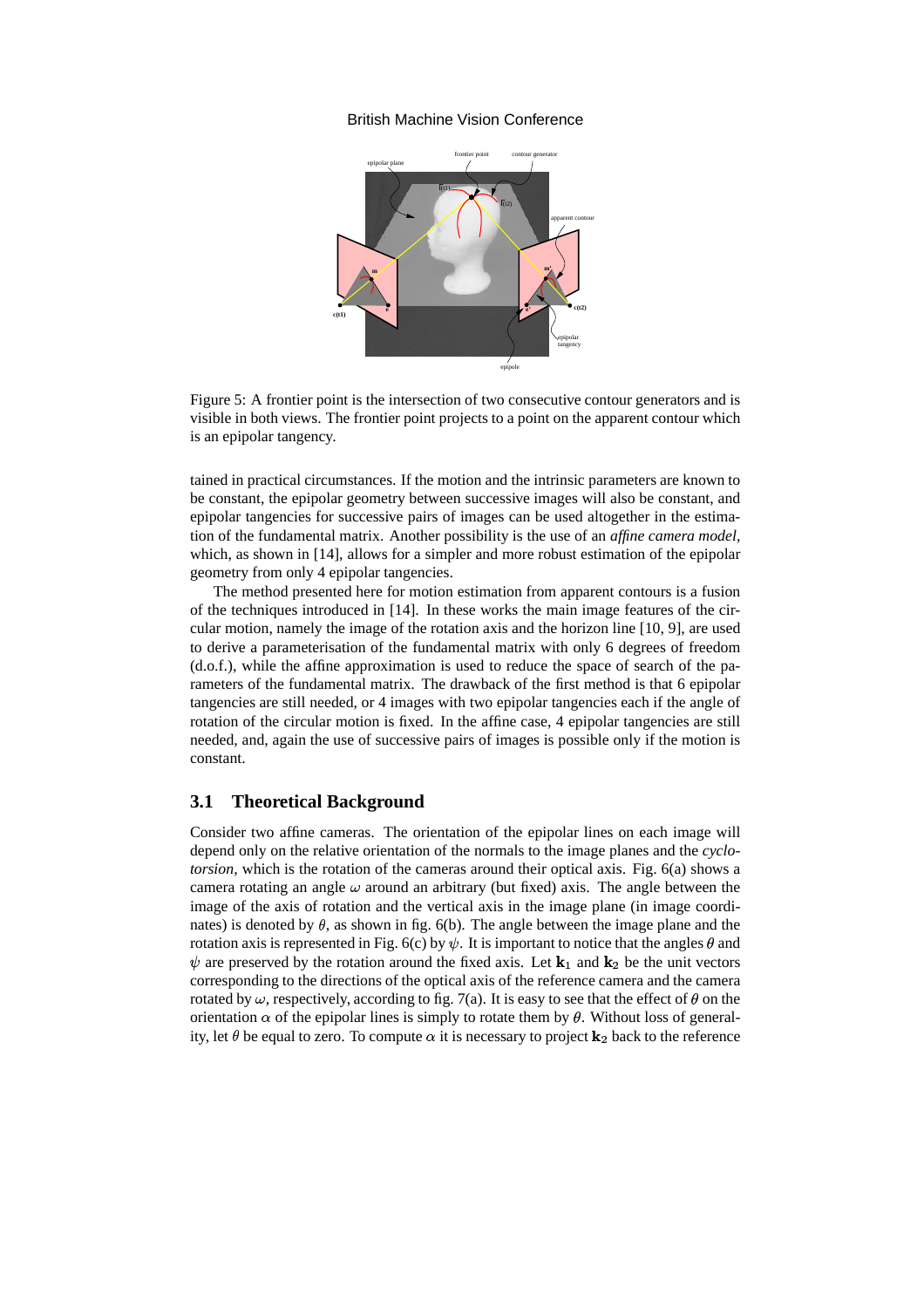

Figure 5: A frontier point is the intersection of two consecutive contour generators and is visible in both views. The frontier point projects to a point on the apparent contour which is an epipolar tangency.

tained in practical circumstances. If the motion and the intrinsic parameters are known to be constant, the epipolar geometry between successive images will also be constant, and epipolar tangencies for successive pairs of images can be used altogether in the estimation of the fundamental matrix. Another possibility is the use of an *affine camera model*, which, as shown in [14], allows for a simpler and more robust estimation of the epipolar geometry from only 4 epipolar tangencies.

The method presented here for motion estimation from apparent contours is a fusion of the techniques introduced in [14]. In these works the main image features of the circular motion, namely the image of the rotation axis and the horizon line [10, 9], are used to derive a parameterisation of the fundamental matrix with only 6 degrees of freedom (d.o.f.), while the affine approximation is used to reduce the space of search of the parameters of the fundamental matrix. The drawback of the first method is that 6 epipolar tangencies are still needed, or 4 images with two epipolar tangencies each if the angle of rotation of the circular motion is fixed. In the affine case, 4 epipolar tangencies are still needed, and, again the use of successive pairs of images is possible only if the motion is constant.

#### **3.1 Theoretical Background**

Consider two affine cameras. The orientation of the epipolar lines on each image will depend only on the relative orientation of the normals to the image planes and the *cyclotorsion*, which is the rotation of the cameras around their optical axis. Fig. 6(a) shows a camera rotating an angle  $\omega$  around an arbitrary (but fixed) axis. The angle between the image of the axis of rotation and the vertical axis in the image plane (in image coordinates) is denoted by  $\theta$ , as shown in fig. 6(b). The angle between the image plane and the rotation axis is represented in Fig. 6(c) by  $\psi$ . It is important to notice that the angles  $\theta$  and  $\psi$  are preserved by the rotation around the fixed axis. Let  $\mathbf{k}_1$  and  $\mathbf{k}_2$  be the unit vectors corresponding to the directions of the optical axis of the reference camera and the camera rotated by  $\omega$ , respectively, according to fig. 7(a). It is easy to see that the effect of  $\theta$  on the orientation  $\alpha$  of the epipolar lines is simply to rotate them by  $\theta$ . Without loss of generality, let  $\theta$  be equal to zero. To compute  $\alpha$  it is necessary to project  $\mathbf{k}_2$  back to the reference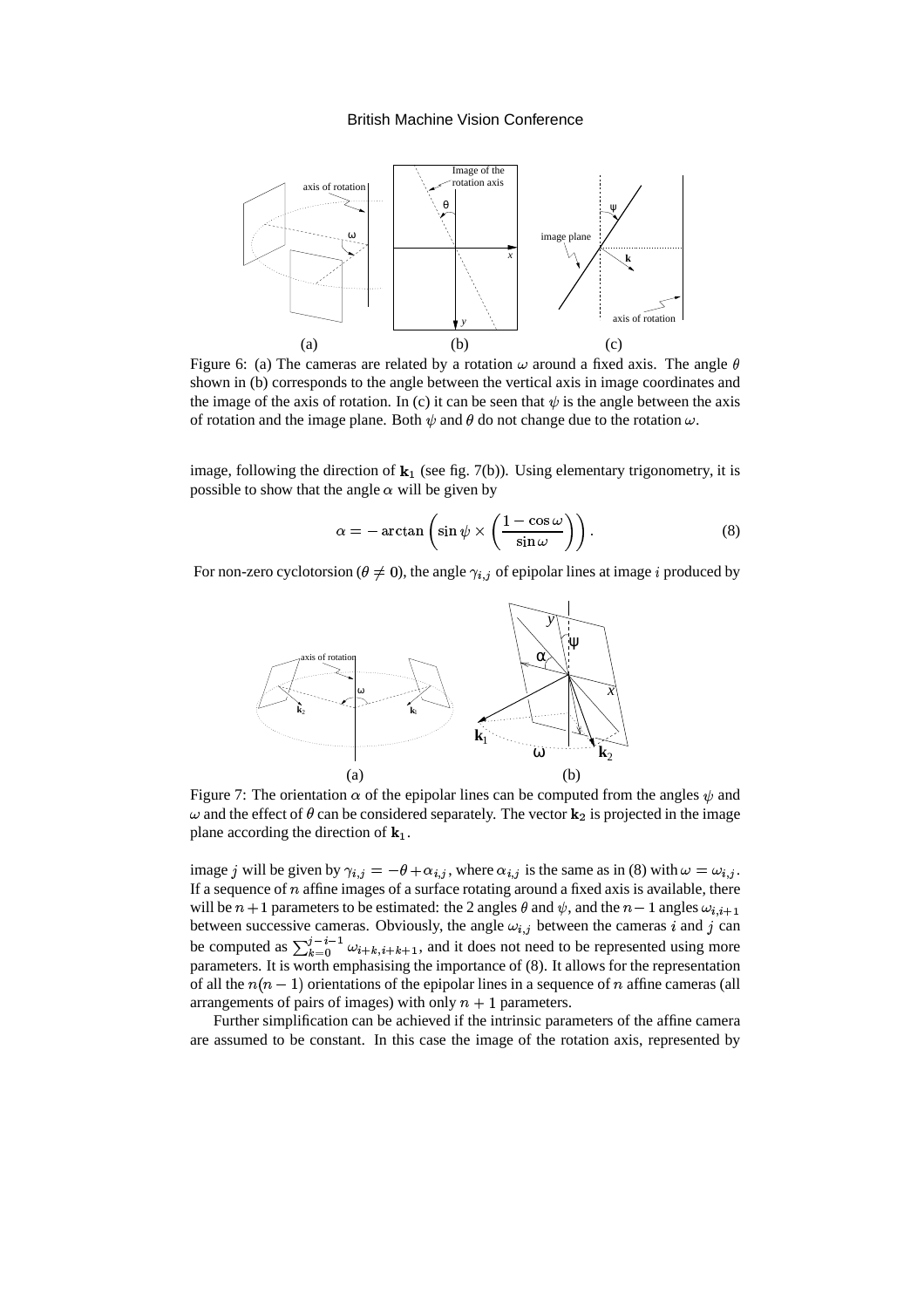

Figure 6: (a) The cameras are related by a rotation  $\omega$  around a fixed axis. The angle  $\theta$ shown in (b) corresponds to the angle between the vertical axis in image coordinates and the image of the axis of rotation. In (c) it can be seen that  $\psi$  is the angle between the axis of rotation and the image plane. Both  $\psi$  and  $\theta$  do not change due to the rotation  $\omega$ .

image, following the direction of  $\mathbf{k}_1$  (see fig. 7(b)). Using elementary trigonometry, it is possible to show that the angle  $\alpha$  will be given by

$$
\alpha = -\arctan\left(\sin\psi \times \left(\frac{1-\cos\omega}{\sin\omega}\right)\right). \tag{8}
$$

For non-zero cyclotorsion ( $\theta \neq 0$ ), the angle  $\gamma_{i,j}$  of epipolar lines at image i produced by



Figure 7: The orientation  $\alpha$  of the epipolar lines can be computed from the angles  $\psi$  and  $\omega$  and the effect of  $\theta$  can be considered separately. The vector  $\mathbf{k}_2$  is projected in the image plane according the direction of  $\mathbf{k}_1$ .

image *j* will be given by  $\gamma_{i,j} = -\theta + \alpha_{i,j}$ , where  $\alpha_{i,j}$  is the same as in (8) with  $\omega = \omega_{i,j}$ . If a sequence of  $n$  affine images of a surface rotating around a fixed axis is available, there will be  $n+1$  parameters to be estimated: the 2 angles  $\theta$  and  $\psi$ , and the  $n-1$  angles  $\omega_{i,i+1}$ between successive cameras. Obviously, the angle  $\omega_{i,j}$  between the cameras  $i$  and  $j$  can be computed as  $\sum_{k=0}^{j-i-1} \omega_{i+k,i+k+1}$ , and it does not need to be represented using more parameters. It is worth emphasising the importance of (8). It allows for the representation of all the  $n(n-1)$  orientations of the epipolar lines in a sequence of n affine cameras (all arrangements of pairs of images) with only  $n + 1$  parameters.

Further simplification can be achieved if the intrinsic parameters of the affine camera are assumed to be constant. In this case the image of the rotation axis, represented by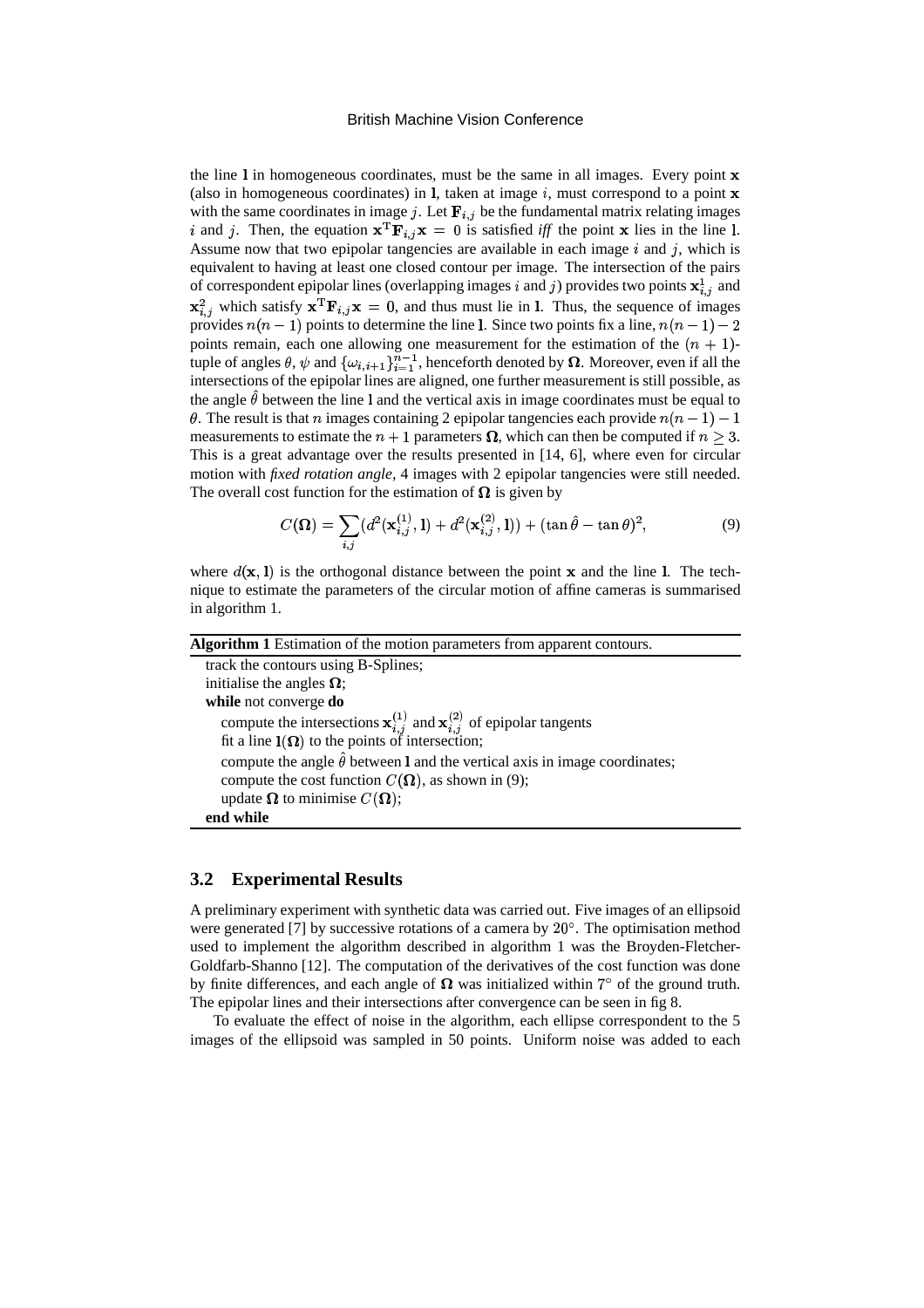the line  $\bf{l}$  in homogeneous coordinates, must be the same in all images. Every point  $\bf{x}$ (also in homogeneous coordinates) in  $l$ , taken at image  $i$ , must correspond to a point  $x$ with the same coordinates in image j. Let  ${\bf F}_{i,j}$  be the fundamental matrix relating images i and j. Then, the equation  $x^T F_{i,j} x = 0$  is satisfied *iff* the point x lies in the line 1. Assume now that two epipolar tangencies are available in each image  $i$  and  $j$ , which is equivalent to having at least one closed contour per image. The intersection of the pairs of correspondent epipolar lines (overlapping images i and j) provides two points  $\mathbf{x}_{i,j}^1$  and  ${\bf x}_{i,j}^2$  which satisfy  ${\bf x}^T{\bf F}_{i,j}{\bf x}=0$ , and thus must lie in l. Thus, the sequence of images provides  $n(n-1)$  points to determine the line 1. Since two points fix a line,  $n(n-1)-2$ points remain, each one allowing one measurement for the estimation of the  $(n + 1)$ tuple of angles  $\theta$ ,  $\psi$  and  $\{\omega_{i,i+1}\}_{i=1}^{n-1}$ , henceforth denoted by  $\Omega$ . Moreover, even if all the intersections of the epipolar lines are aligned, one further measurement is still possible, as the angle  $\hat{\theta}$  between the line 1 and the vertical axis in image coordinates must be equal to  $\theta$ . The result is that n images containing 2 epipolar tangencies each provide  $n(n-1)-1$ measurements to estimate the  $n + 1$  parameters  $\Omega$ , which can then be computed if  $n > 3$ . This is a great advantage over the results presented in [14, 6], where even for circular motion with *fixed rotation angle*, 4 images with 2 epipolar tangencies were still needed. The overall cost function for the estimation of  $\Omega$  is given by

$$
C(\mathbf{\Omega}) = \sum_{i,j} (d^2(\mathbf{x}_{i,j}^{(1)}, \mathbf{l}) + d^2(\mathbf{x}_{i,j}^{(2)}, \mathbf{l})) + (\tan \hat{\theta} - \tan \theta)^2, \tag{9}
$$

where  $d(\mathbf{x}, l)$  is the orthogonal distance between the point **x** and the line 1. The technique to estimate the parameters of the circular motion of affine cameras is summarised in algorithm 1.

| Algorithm 1 Estimation of the motion parameters from apparent contours.                              |
|------------------------------------------------------------------------------------------------------|
| track the contours using B-Splines;                                                                  |
| initialise the angles $\Omega$ ;                                                                     |
| while not converge do                                                                                |
| compute the intersections $\mathbf{x}_{i,j}^{(1)}$ and $\mathbf{x}_{i,j}^{(2)}$ of epipolar tangents |
| fit a line $I(\Omega)$ to the points of intersection;                                                |
| compute the angle $\hat{\theta}$ between 1 and the vertical axis in image coordinates;               |
| compute the cost function $C(\Omega)$ , as shown in (9);                                             |
| update $\Omega$ to minimise $C(\Omega)$ ;                                                            |
| end while                                                                                            |

### **3.2 Experimental Results**

A preliminary experiment with synthetic data was carried out. Five images of an ellipsoid were generated [7] by successive rotations of a camera by  $20^\circ$ . The optimisation method used to implement the algorithm described in algorithm 1 was the Broyden-Fletcher-Goldfarb-Shanno [12]. The computation of the derivatives of the cost function was done by finite differences, and each angle of  $\Omega$  was initialized within  $7^{\circ}$  of the ground truth. The epipolar lines and their intersections after convergence can be seen in fig 8.

To evaluate the effect of noise in the algorithm, each ellipse correspondent to the 5 images of the ellipsoid was sampled in 50 points. Uniform noise was added to each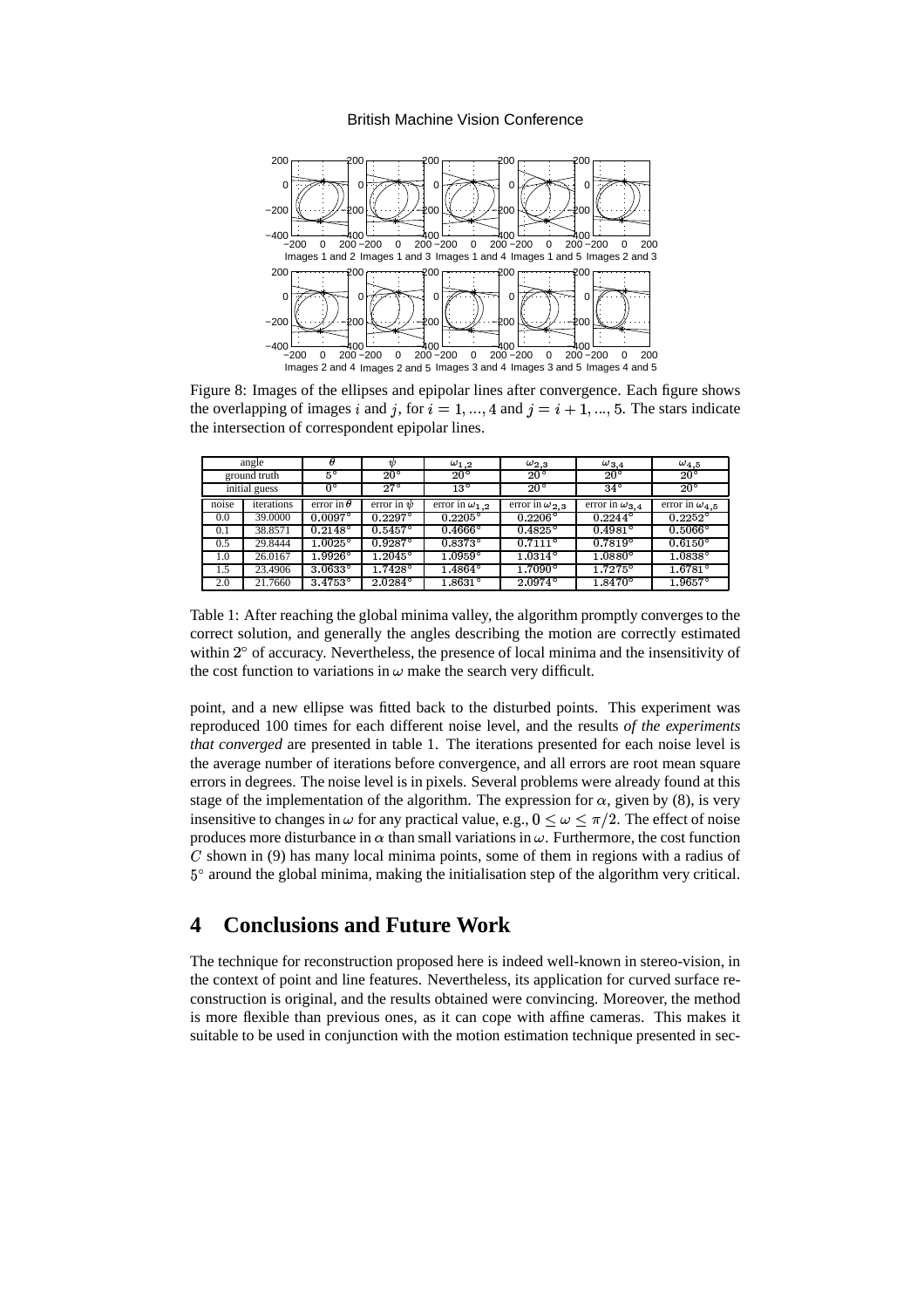

Figure 8: Images of the ellipses and epipolar lines after convergence. Each figure shows the overlapping of images  $i$  and  $j$ , for  $i=1, ..., 4$  and  $j=i+1, ..., 5$ . The stars indicate the intersection of correspondent epipolar lines.

| angle         |            |                   | чb               | $\omega_{1,2}$          | $\omega_{2,3}$          | $\omega$ 3.4            | $\omega_{4,5}$        |
|---------------|------------|-------------------|------------------|-------------------------|-------------------------|-------------------------|-----------------------|
| ground truth  |            | $5^{\circ}$       | $20^{\circ}$     | $20^{\circ}$            | $20^{\circ}$            | $20^{\circ}$            | $20^{\circ}$          |
| initial guess |            |                   | $27^{\circ}$     | $13^{\circ}$            | $20^{\circ}$            | $34^\circ$              | $20^{\circ}$          |
| noise         | iterations | error in $\theta$ | error in $\psi$  | error in $\omega_{1,2}$ | error in $\omega_{2,3}$ | error in $\omega_{3,4}$ | error in $\omega_4$ 5 |
| 0.0           | 39,0000    | $0.0097^{\circ}$  | $0.2297^\circ$   | $0.2205^{\circ}$        | $0.2206^{\circ}$        | $0.2244^{\circ}$        | $0.2252^{\circ}$      |
| 0.1           | 38.8571    | $0.2148^{\circ}$  | $0.5457^{\circ}$ | $0.4666^{\circ}$        | $0.4825^\circ$          | $0.4981^{\circ}$        | $0.5066^{\circ}$      |
| 0.5           | 29.8444    | $1.0025^{\circ}$  | $0.9287$ °       | $0.8373^{\circ}$        | $0.7111^{\circ}$        | $0.7819^{\circ}$        | $0.6150^{\circ}$      |
| 1.0           | 26.0167    | $1.9926^\circ$    | $1.2045^{\circ}$ | $1.0959^\circ$          | $1.0314^{\circ}$        | $1.0880^{\circ}$        | $1.0838^\circ$        |
| 1.5           | 23.4906    | $3.0633^{\circ}$  | 1.7428°          | $1.4864^{\circ}$        | $1.7090^{\circ}$        | $1.7275^{\circ}$        | 1.6781°               |
| 2.0           | 21.7660    | $3.4753^{\circ}$  | $2.0284^{\circ}$ | $1.8631^{\circ}$        | $2.0974^{\circ}$        | $1.8470^{\circ}$        | $1.9657^{\circ}$      |

Table 1: After reaching the global minima valley, the algorithm promptly converges to the correct solution, and generally the angles describing the motion are correctly estimated within  $2^{\circ}$  of accuracy. Nevertheless, the presence of local minima and the insensitivity of the cost function to variations in  $\omega$  make the search very difficult.

point, and a new ellipse was fitted back to the disturbed points. This experiment was reproduced 100 times for each different noise level, and the results *of the experiments that converged* are presented in table 1. The iterations presented for each noise level is the average number of iterations before convergence, and all errors are root mean square errors in degrees. The noise levelis in pixels. Several problems were already found at this stage of the implementation of the algorithm. The expression for  $\alpha$ , given by (8), is very insensitive to changes in  $\omega$  for any practical value, e.g.,  $0 \leq \omega \leq \pi/2$ . The effect of noise produces more disturbance in  $\alpha$  than small variations in  $\omega$ . Furthermore, the cost function  $C$  shown in (9) has many local minima points, some of them in regions with a radius of  $5^{\circ}$  around the global minima, making the initialisation step of the algorithm very critical.

# **4 Conclusions and Future Work**

The technique for reconstruction proposed here is indeed well-known in stereo-vision, in the context of point and line features. Nevertheless, its application for curved surface reconstruction is original, and the results obtained were convincing. Moreover, the method is more flexible than previous ones, as it can cope with affine cameras. This makes it suitable to be used in conjunction with the motion estimation technique presented in sec-